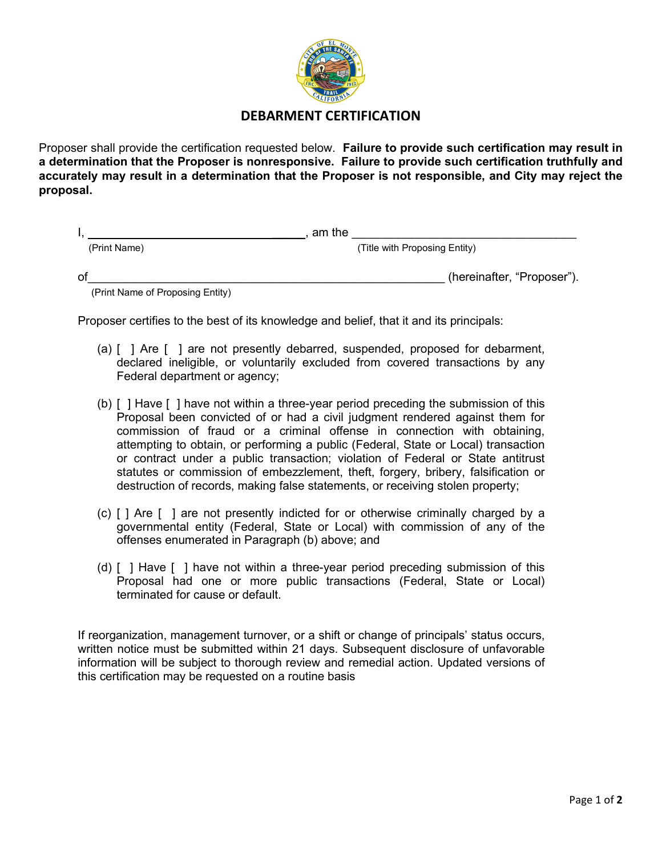

## **DEBARMENT CERTIFICATION**

Proposer shall provide the certification requested below. **Failure to provide such certification may result in a determination that the Proposer is nonresponsive. Failure to provide such certification truthfully and accurately may result in a determination that the Proposer is not responsible, and City may reject the proposal.** 

|              | am the                        |
|--------------|-------------------------------|
| (Print Name) | (Title with Proposing Entity) |
| of           | (hereinafter, "Proposer").    |

(Print Name of Proposing Entity)

Proposer certifies to the best of its knowledge and belief, that it and its principals:

- (a) [ ] Are [ ] are not presently debarred, suspended, proposed for debarment, declared ineligible, or voluntarily excluded from covered transactions by any Federal department or agency;
- (b) [ ] Have [ ] have not within a three-year period preceding the submission of this Proposal been convicted of or had a civil judgment rendered against them for commission of fraud or a criminal offense in connection with obtaining, attempting to obtain, or performing a public (Federal, State or Local) transaction or contract under a public transaction; violation of Federal or State antitrust statutes or commission of embezzlement, theft, forgery, bribery, falsification or destruction of records, making false statements, or receiving stolen property;
- (c) [ ] Are [ ] are not presently indicted for or otherwise criminally charged by a governmental entity (Federal, State or Local) with commission of any of the offenses enumerated in Paragraph (b) above; and
- (d) [ ] Have [ ] have not within a three-year period preceding submission of this Proposal had one or more public transactions (Federal, State or Local) terminated for cause or default.

If reorganization, management turnover, or a shift or change of principals' status occurs, written notice must be submitted within 21 days. Subsequent disclosure of unfavorable information will be subject to thorough review and remedial action. Updated versions of this certification may be requested on a routine basis